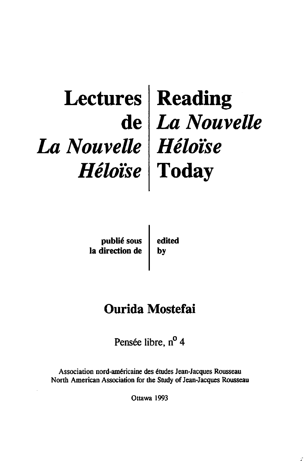## **Lectures de**  *La Nouvelle Héloïse*  Reading *La Nouvelle Héloise*  Today

publié sous la direction de edited by

# Ourida Mostefai

Pensée libre, n<sup>o</sup> 4

Association nord-américaine des études Jean-Jacques Rousseau North American Association for the Study of Jean-Jacques Rousseau

Ottawa 1993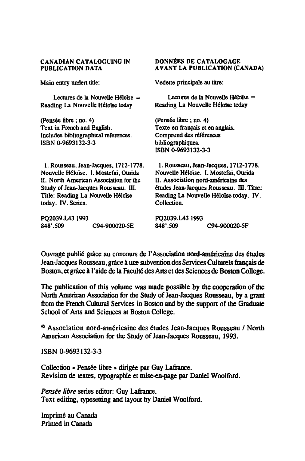#### CANADIAN CATALOGUING IN PUBLICATION DATA

Main entry undert tille:

Lectures de la Nouvelle Héloïse = Reading La Nouvelle Héloïse today

(Pensée libre ; no. 4) Text in French and English. Includes bibliographical references. ISBN 0-9693132-3-3

1. Rousseau, Jean-Jacques, 1712-1TI8. Nouvelle Héloïse. I. Mostefai, Ourida U. North American Association for the Study of Jean-Jacques Rousseau. III. Title: Reading La Nouvelle Héloïse today. IV. Series.

PQ2039.LA3 1993<br>848'.509 C94-900020-5E DONNÉES DE CATALOGAGE AVANT LA PUBLICATION (CANADA)

Vedette principale au titre:

Lectures de la Nouvelle Héloïse = Reading La Nouvelle Héloïse today

(Pensée libre ; no. 4) Texte en français et en anglais. Comprend des références bibliographiques. ISBN 0-9693132-3-3

1. Rousseau, Jean-Jacques, 1712-1778. Nouvelle Héloïse. I. Mostefai, Ourida Il. Association nord-américaine des études Jean-Jacques Rousseau. III. Titre: Reading La Nouvelle Héloïse today. IV. Collection.

PQ2039.LA3 1993<br>848'.509 C94-900020-5P

Ouvrage publié grâce au concours de l'Association nord-américaine des études Jean-Jacques Rousseau, grâce à une subvention des Services Culturels français de Boston, et grâce à l'aide de la Faculté des Arts et des Sciences de Boston College.

The publication of this volume was made possible by the cooperation of the North American Association for the Study of Jean-Jacques Rousseau, by a gram from the French Cultural Services in Boston and by the support of the Graduate Scbool of Arts and Sciences at Boston College.

@ Association nord-américaine des études Jean-Jacques Rousseau / North American Association for the Study of Jean-Jacques Rousseau, 1993.

ISBN 0-9693132-3-3

Collection « Pensée libre » dirigée par Guy Lafrance. Revision de textes, typographie et mise-en-page par Daniel Woolford.

*Pensée übre* series editor: Guy Lafrance. Text editing, typesetting and Iayout by Daniel Woolford.

Imprimé au Canada Printed in Canada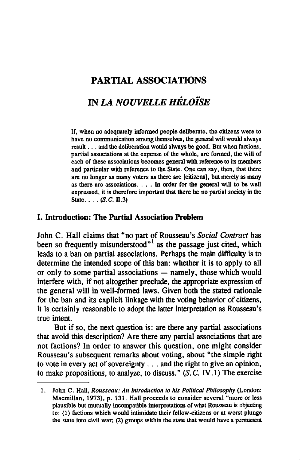### PARTIAL ASSOCIATIONS

### IN *LA NOUVELLE HÉLOÏSE*

If, when no adequately informed people deliberate, the citizens were to have no communication among themselves, the general will would always result ... and the deliberation would always be good. But when factions, partial associations at the expense of the whole, are formed, the will of each of these associations becomes general with reference to its members and particular with reference to the State. One can say, then, that there are no longer as many voters as there are [citizens], but merely as many as there are associations. . . . In order for the general will to be well expressed, it is therefore important that there be no partial society in the State  $\ldots$  (S.C. II.3)

### 1. Introduction: The Partial Association Problem

John C. Hall claims that "no part of Rousseau's *Social Contract* has been so frequently misunderstood $n<sup>1</sup>$  as the passage just cited, which leads to a ban on partial associations. Perhaps the main difficulty is to determine the intended scope of this ban: whether it is to apply to ail or only to some partial associations  $-$  namely, those which would interfere with, if not altogether preclude, the appropriate expression of the general will in well-formed laws. Given both the stated rationale for the ban and its explicit linkage with the voting behavior of citizens, it is certainly reasonable to adopt the latter interpretation as Rousseau's true intent.

But if so, the next question is: are there any partial associations that avoid this description? Are there any partial associations that are not factions? In order to answer this question, one might consider Rousseau's subsequent remarks about voting, about "the simple right to vote in every act of sovereignty . . . and the right to give an opinion, to make propositions, to analyze, to discuss."  $(S, C, IV, 1)$  The exercise

<sup>1.</sup> John C. Hall, *Rousseau: An Introduction to his Political Philosophy* (London: Macmillan. 1973), p. 131. Hall proceeds to consider several "more or less plausible but mutually incompatible interpretations ofwhat Rousseau is objecting to: (1) factions which would intimidate their fellow-citizens or at worst plunge the state into civil war; (2) groups within the state that would have a pennanent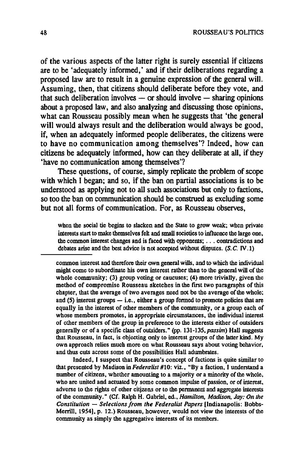of the various aspects of the latter right is surely essential if citizens are to be 'adequately informed,' and if their deliberations regarding a proposed law are to result in a genuine expression of the general will. Assuming, then, that citizens should deliberate before they vote, and  $\frac{1}{1}$  that such deliberation involves - or should involve - sharing opinions about a proposed law, and a1so anaIyzing and discussing those opinions, what can Rousseau possibly mean when he suggests that 'the general will would always result and the deliberation would always be good, if, when an adequately informed people deliberates, the citizens were to have no communication among themselves'? Indeed, how can citizens be adequately informed, how can they deliberate at ail, if they 'have no communication among themselves'?

These questions, of course, simply replicate the problem of scope with which I began; and so, if the ban on partial associations is to be understood as applying not to all such associations but only to factions, so too the ban on communication should be construed as excluding some but not aIl forms of communication. For, as Rousseau observes,

when the social tie begins to slacken and the State to grow weak; when private interests start to make themselves feh and small societies to influence the large one, the common interest changes and is faced with opponents; . . . contradictions and debates arise and the best advice is not accepted without disputes.  $(S, C, IV, 1)$ 

eommon interest and therefore their own general wills, and to whicb the in<fividual might come to subordinate bis own interest rather than to the general will of the whole community; (3) group voting or caucuses; (4) more trivially, given the method of compromise Rousseau sketches in the first two paragraphs of this chapter, that the average of two averages need not be the average of the whole; and (5) interest groups  $-$  i.e., either a group formed to promote policies that are equally in the interest of other members of the community, or a group eacb of whose members promotes, in appropriate circumstances, the individual interest of other members of the group in preference to the interests either of outsiders generally or of a specifie elass of outsiders." (pp. 131-135, *passim)* HaU suggests that Rousseau, in fact, is objecting only to inlerest groups of the latter kind. My own approach relies much more on what Rousseau says about voting behavior, and thus cuts across some of the possibilities Hall adumbrates.

Indeed, 1 suspect that Rousseau's concept of factions is quite similar to that presented by Madison in *Federalist* #10: viz., "By a faction, I understand a number of citizens, whether amounting to a majority or a minority of the whole, who are united and actuated by some common impulse of passion, or of interest. adverse to the rights of other citjzens or to the permanent and aggregate interests of the community." (Cf. Ralph H. Gabriel, ed., *Hamilton, Madison. Jay: On the Constitution* - *Selections irom the Federalist Papers* (Indianapolis: Bobbs-Merrill, 1954], p. 12.) Rousseau, however, would not view the interests of the community as simply the aggregative interests of its members.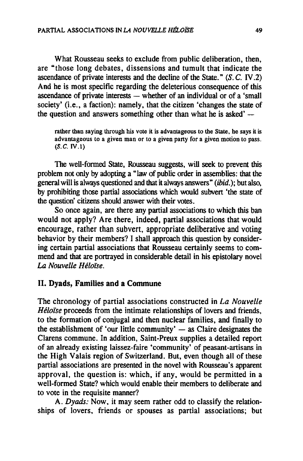What Rousseau seeks to exclude from public deliberation, then, are "those long debates, dissensions and tumult that indicate the ascendance of private interests and the decline of the State."  $(S, C, IV, 2)$ And he is most specifie regarding the deleterious consequence of this ascendance of private interests  $-$  whether of an individual or of a 'small society' (i.e., a faction): namely, that the citizen 'changes the state of the question and answers something other than what he is asked' $-$ 

rather than saying through his vote it is advantageous to the State, he says it is advantageous to a given man or to a given party for a given motion to pass. (S.C. IV.1)

The weU-formed State. Rousseau suggests, will seek to prevent this problem not only by adopting a "Iaw of public order in assemblies: that the general will is always questioned and that it always answers" (ibid.); but also, by prohibiting those partial associations which would subvert 'the state of the question' citizens should answer with their votes.

So once again, are there any partial associations to which this ban would not apply? Are there, indeed, partial associations that would encourage, rather than subvert, appropriate deliberative and voting behavior by their members? I shall approach this question by considering certain partial associations that Rousseau certainly seems to commend and that are portrayed in considerable detail in his epistolary novel *La Nouvelle Héloïse.* 

#### Il. Dyads, Families and a Commune

The chronology of partial associations constructed in *La Nouvelle Héloïse* proceeds from the intimate relationships of lovers and friends, to the formation of conjugal and then nuclear families, and finally to the establishment of 'our little community'  $-$  as Claire designates the Clarens commune. In addition, Saint-Preux supplies a detailed report of an already existing laissez-faire 'community' of peasant-artisans in the High Valais region of Switzerland. But, even though all of these partial associations are presented in the novel with Rousseau's apparent approval, the question is: which, if any, would be permitted in a well-formed State? which would enable their members to deliberate and to vote in the requisite manner?

A. *Dyads*: Now, it may seem rather odd to classify the relationships of lovers, friends or spouses as partial associations; but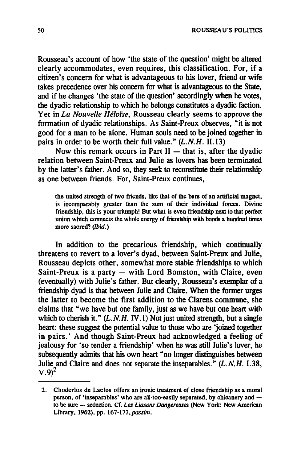Rousseau's account of how 'the state of the question' might he altered clearly accommodates, even requires, this classification. For, if a citizen's concem for what is advantageous to his lover, friend or wife takes precedence over bis concem for what is advantageous to the State, and if he changes 'the state of the question' accordingly when he votes, the dyadic relationship to which he belongs constitutes a dyadic faction. Yet in *La Nouvelle Héloïse*, Rousseau clearly seems to approve the formation of dyadic relationships. As Saint-Preux observes, "it is not good for a man to be alone. Human souls need to be joined together in pairs in order to be worth their full value." *(L.N.H.* II.13)

Now this remark occurs in Part  $II$   $-$  that is, after the dyadic relation between Saint-Preux and Julie as lovers has been terminated by the latter's father. And 50, they seek to reconstitute their relationship as one between friends. For, Saint-Preux continues,

the united strength of two friends, like that of the bars of an artificial magnet, is incomparably greater than the sum of their individual forces. Divine friendship, this is your triumph! But what is even friendship next to that perfect union which connects the whole energy of friendsbip witb bonds a hundred times more sacred? (Ibid.)

In addition to the precarious friendship, which continually threatens to revert to a lover's dyad, between Saint-Preux and Julie, Rousseau depicts other. somewhat more stable friendships to which Saint-Preux is a party  $-$  with Lord Bomston, with Claire, even (eventually) with Julie's father. But clearly, Rousseau's exemplar of a friendship dyad is that between Julie and Claire. When the former urges the latter to become the first addition to the Clarens commune, she claims that "we have but one family, just as we have but one heart with which to cherish it."  $(L, N, H, IV, I)$  Not just united strength, but a single heart: these suggest the potential value to those who are 'joined together in pairs.' And though Saint-Preux had acknowledged a feeling of jealousy for 'so tender a friendship' when he was still lulie's lover, he subsequently admits that his own heart "no longer distinguishes between Julie and Claire and does not separate the inseparables." *(L.N.H. 1.38,*   $V.9$ <sup>2</sup>

<sup>2.</sup> Choderlos de Laclos offers an ironic treatment of close friendship as a moral person, of 'inseparables' who are all-too-easily separated, by chicanery and  $$ to he sure - seduction. Cf. *Les Uasons Dangereuses* (New York: New American Library, 1962), pp. 167-173, *passim.*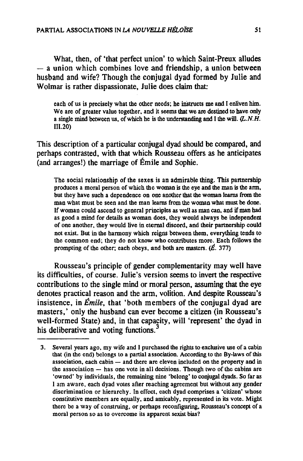What, then, of 'that perfect union' to which Saint-Preux alludes  $-$  a union which combines love and friendship, a union between husband and wife? Though the conjugal dyad formed by Julie and Wolmar is rather dispassionate, Julie does claim that:

each of us is precisely what the other needs; he instructs me and I enliven him. We are of greater value together, and it seems that we are destined to bave only a single mind between us, of which he is the understanding and  $\mathbf I$  the will.  $(L.N.H.$ III. 20)

This description of a particular conjugal dyad should be compared, and perhaps contrasted, with that which Rousseau offers as he anticipates (and arranges!) the marriage of Émile and Sophie.

The social relationship of the sexes is an admirable thing. This partnership produces a moral person of which the woman is the eye and the man is the ann, but they have such a dependence on one another that the woman learns from the man what must be seen and the man learns from the woman what must be done. If woman could ascend to general principles as well as man can, and if man bad as good a mind for details as woman does, they would always be independent of one another, they would live in eternal discord, and their partnership could not exist. But in the hannony which reigns between tbem, everything tends to the common end; they do not know who cootributes more. Bach follows the prompting of the other; each obeys, and both are masters.  $(\vec{E}$ , 377)

Rousseau's principle of gender complementarity may weil have its difficulties, of course. lulie's version seems to invert the respective contributions to the single mind or moral person, assuming that the eye denotes practical reason and the arm, volition. And despite Rousseau's insistence, in *Émile,* that 'both members of the conjugal dyad are masters,' only the husband can ever become a citizen (in Rousseau's well-formed State) and, in that capacity, will 'represent' the dyad in his deliberative and voting functions.<sup>3</sup>

<sup>3.</sup> Several years ago. my wife and 1 pur-chased the rights to exclusive use of a cabin that (in the end) belongs to a partial association. According to the By-laws of this association, each cabin  $-$  and there are eleven included on the property and in the association  $-$  has one vote in all decisions. Though two of the cabins are 'owned' by individuals, the remaining nine 'belong' to conjugal dyads. So far as 1 am aware, each dyad votes after reaching agreement but without any gender discrimination or hierarchy. In effect, each dyad comprises a 'citizen' whose constitutive members are equally, and amicably, represented in its vote. Might there be a way of construing, or perhaps reconfiguring, Rousseau's concept of a moral person so as to overcome its apparenl sexist bias?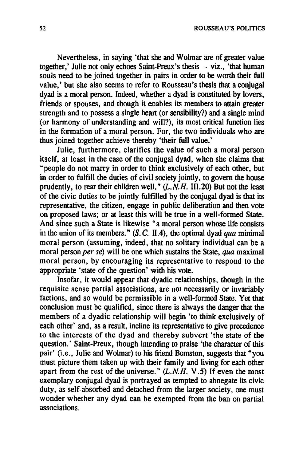Nevertheless, in saying 'that she and Wolmar are of greater value together,' Julie not only echoes Saint-Preux's thesis  $-$  viz., 'that human souls need to be joined together in pairs in order to be worth their full value,' but she also seems to refer to Rousseau's thesis that a conjugal dyad is a moral person. Indeed, whether a dyad is constituted by loyers, friends or spouses, and though it enables its members to attain greater strength and to possess a single heart (or sensibility?) and a single mind (or harmony of understanding and will?), its most critical function lies in the formation of a moral person. For, the two individuals who are thus joined together achieve thereby 'their full value.'

Julie, furthermore, clarifies the value of such a moral person itself, at least in the case of the conjugal dyad, when she claims that "people do not marry in order to think exclusively of each other, but in order to fulfill the duties of civil society jointly, to govern the house prudently, to rear their children well."  $(L.N.H.$  III.20) But not the least of the civic duties to be jointly fulfilled by the conjugal dyad is that its representative, the citizen, engage in public deliberation and then vote on proposed laws; or at least this will be true in a well-formed State. And since such a State is likewise "a moral person whose life consists in the union of its members." (S. C. II.4), the optimal dyad *qua* minimal moral person (assuming, indeed, that no solitary individual can be a moral person *per se*) will be one which sustains the State, *qua* maximal moral person, by encouraging its representative to respond to the appropriate 'state of the question' with bis vote.

Insofar, it would appear that dyadic relationships, though in the requisite sense partial associations, are not necessarily or invariably factions, and so would be permissible in a well-formed State. Yet that conclusion must be qualified, since there is always the danger that the members of a dyadic relationship will begin 'to think exclusively of each other' and, as a result, incline its representative to give precedence to the interests of the dyad and thereby subvert 'the state of the question.' Saint-Preux, though intending to praise 'the character of this pair' (i.e., Julie and Wolmar) to his friend Bomston, suggests that "you must picture them taken up with their family and living for each other apart from the rest of the universe."  $(L.N.H. V.5)$  If even the most exemplary conjugal dyad is portrayed as tempted to abnegate its civic duty, as self-absorbed and detached from the larger society, one must wonder whether any dyad can be exempted from the ban on partial associations.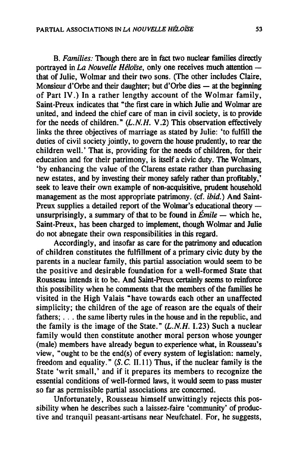B. *Families:* Though there are in fact two nuclear families directly portrayed in *La Nouvelle Héloïse*, only one receives much attention that of Julie, Wolmar and their two sons. (The other includes Claire, Monsieur d'Orbe and their daughter; but d'Orbe dies  $-$  at the beginning of Part IV.) In a rather lengthy account of the Wolmar family, Saint-Preux indicates that "the first care in which Julie and Wolmar are united, and indeed the chief care of man in civil society, is to provide for the needs of children." *(L.N.H.* V.2) This observation effectively links the three objectives of marriage as stated by Julie: 'to fulfill the duties of civil society jointly, to govem the house prudently, to rear the children weil.' That is, providing for the needs of children, for their education and for their patrimony, is itself a civic duty. The Wolmars, 'by enhancing the value of the Clarens estate rather than purchasing new estates, and by investing their money safely rather than profitably,' seek to leave their own example of non-acquisitive, prudent household management as the most appropriate patrimony. (cf. ibid.) And Saint-Preux supplies a detailed report of the Wolmar's educational theory unsurprisingly, a summary of that to be found in  $\text{Émile}$  - which he. Saint-Preux, has been charged to implement, though Wolmar and Julie do not abnegate their own responsibilities in this regard.

Accordingly, and insofar as care for the patrimony and education of children constitutes the fulfillment of a primary civic duty by the parents in a nuclear family, this partial association would seem to be the positive and desirable foundation for a well-formed State that Rousseau intends it to be. And Saint-Preux certainly seems to reinforce tbis possibility when he comments that the members of the families he visited in the High Valais "have towards each other an unaffected simplicity; the children of the age of reason are the equals of their fathers; ... the same liberty mies in the house and in the republic, and the family is the image of the State." *(L.N.H.* 1.23) Such a nuclear family would then constitute another moral person whose younger (male) members have already begun to experience what, in Rousseau's view, "ought to be the end(s) of every system of legislation: namely, freedom and equality."  $(S. C. II.11)$  Thus, if the nuclear family is the State 'writ small,' and if it prepares its members to recognize the essential conditions of well-formed laws, it would seem to pass muster so far as permissible partial associations are concerned.

Unfortunately, Rousseau himself unwittingly rejects this possibility when he describes such a laissez-faire 'community' of productive and tranquil peasant-artisans near Neufchatel. For, he suggests,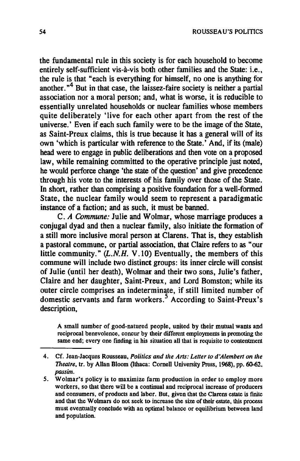the fundamental rule in this society is for each household to become entirely self-sufficient vis-à-vis both other families and the State: i.e., the rule is that "each is everything for himself. no one is anything for another. $n<sup>4</sup>$  But in that case, the laissez-faire society is neither a partial association nor a moral person; and, what is worse. it is reducible to essentially unrelated households or nuclear families whose members quite deliberately 'live for each other apart from the rest of the universe.' Even if each such family were to be the image of the State, as Saint-Preux claims, this is true because it has a general will of its own 'which is particular with referenee to the State.' And, if its (male) head were to engage in public deliberations and then vote on a proposed law, while remaining committed to the operative principle just noted, he would perforce change 'the state of the question' and give precedence through his vote to the interests of his family over those of the State. In short, rather than comprising a positive foundation for a well-fonned State, the nuclear family would seem to represent a paradigmatic instance of a faction; and as such, it must be banned.

C. *A Commune:* Julie and Wolmar, whose marriage produces a conjugal dyad and then a nuclear family, also initiate the formation of a still more inclusive moral person at Clarens. That is, they establish a pastoral commune, or partial association, that Claire refers to as "our little community."  $(L.N.H. V.10)$  Eventually, the members of this commune will include two distinct groups: its inner circle will consist of Julie (until her death), Wolmar and their two sons, Julie's father, Claire and her daughter, Saint-Preux, and Lord Bomston; while its outer circle comprises an indeterminate, if still Iimited number of domestic servants and farm workers.5 According to Saint-Preux's description,

A small number of good-natured people, united by their mutual wants and reciprocal benevolence, concur by Iheir different employments in promoting the same end; every one finding in his situation all that is requisite to contentment

<sup>4.</sup> Cf. Jean-Jacques Rousseau, *Politics and the Arts: Letter to d'Alembert on the Theatre, tr. by Allan Bloom (Ithaca: Cornell University Press, 1968), pp. 60-62, passim.* 

<sup>5.</sup> Wolmar's policy is to maximize farm production in order to employ more workers, so that there will be a continuai and reciprocal increase of producers and consumers, of products and labor. But, given that the Clarens estate is finite and that the Wolmars do not seek to increase the size of their estate, this process must eventually conclude wilb an optimal balance or equilibrium between land and population.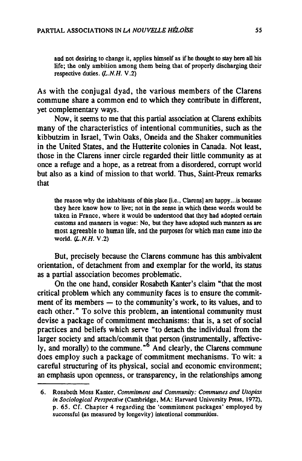and not desiring to change it, applies himself as if he thought to stay here all his life; the only ambition among them being that of properly discharging their respective duties.  $(L.N.H. V.2)$ 

As with the conjugal dyad, the various members of the Clarens commune share a common end to which they contribute in different, yet complementary ways.

Now, it seems to me that this partial association at Clarens exhibits many of the characteristics of intentional communities, such as the kibbutzim in Israel, Twin Oaks, Oneida and the Shaker communities in the United States, and the Hutterite colonies in Canada. Not least, those in the Clarens inner circle regarded their little community as at once a refuge and a hope, as a retreat from a disordered, corrupt world but also as a kind of mission to that world. Thus, Saint-Preux remarks that

the reason why the inhabitants of this place [i.e., Clarens] are happy... is because they here know how to live; not in Ihe sense in which Ihese words would be taken in France, where it would be understood that they had adopted certain customs and manners in vogue: No, but they have adopted such manners as are most agreeable to human life, and the purposes for which man came into the world. *(L.N.H. V.2)* 

But, precisely because the Clarens commune has this ambivalent orientation, of detachment from and exemplar for the world, its status as a partial association becomes problematic.

On the one hand, consider Rosabeth Kanter's daim "that the most critical problem which any community faces is to ensure the commitment of its members  $-$  to the community's work, to its values, and to each other." To solve this problem, an intentional community must devise a package of commitment mechanisms: that is, a set of social practices and beliefs which serve "to detach the individual from the larger society and attach/commit that person (instrumentally, affective- $\frac{1}{2}$  and morally) to the commune.<sup> $\frac{6}{2}$ </sup> And clearly, the Clarens commune does employ such a package of commitment mechanisms. To wit: a careful structuring of its physical, social and economic environment; an emphasis upon openness, or transparency, in the relationships among

<sup>6.</sup> Rosabeth Moss Kanter, *Commitmem and Communiry: Communes and Utopias in Sociological Perspeclive* (Cambridge, MA: Harvard University Press, 1972), p. 65. Cf. Chapter 4 regarding the 'commitment packages' employed by successful (as measured by longevity) intentional communities.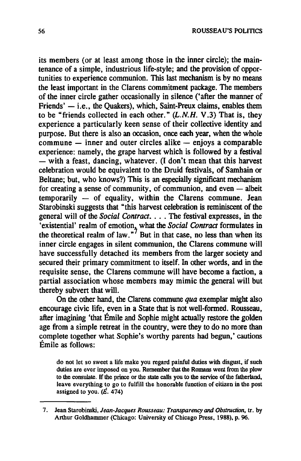its members (or at least among those in the inner circle); the maintenance of a simple, industrious life-style; and the provision of opportunities to experience communion. This last mechanism is by no means the least important in the Clarens commitment package. The members of the inner circle gather occasionally in silence ('after the manner of Friends'  $-$  i.e., the Ouakers), which, Saint-Preux claims, enables them to be "friends collected in each other."  $(L.N.H. V.3)$  That is, they experience a particularly keen sense of their collective identity and purpose. But there is also an occasion, once each year, when the whole  $commune$  - inner and outer circles alike  $-$  enjoys a comparable experience: namely, the grape harvest which is followed by a festival  $-\overline{\phantom{a}}$  with a feast, dancing, whatever. (I don't mean that this harvest celebration would be equivalent to the Druid festivals, of Samhain or Beltane; but, who knows?) This is an especially significant mechanism for creating a sense of community, of communion, and even  $-$  albeit  $temporarily - of equality, within the Clarens commune. Jean$ Starobinski suggests that "this harvest celebration is reminiscent of the general will of the *Social Contract .* ... The festival expresses, in the 'existential' realm of emotion, what the *Social Contract* formulates in the theoretical realm of law."<sup>7</sup> But in that case, no less than when its inner circle engages in silent communion, the Clarens commune will have successfully detached its members from the larger society and secured their primary commitment to itself. In other words, and in the requisite sense, the Clarens commune will bave become a faction, a partial association whose members may mimic the general will but thereby subvert that will.

On the other hand, the Clarens commune  $qua$  exemplar might also encourage civic life, even in a State that is not well-formed. Rousseau, after imagining 'that Émile and Sophie might actuaIly restore the golden age from a simple retreat in the country, were they to do no more than complete together what Sophie's worthy parents had begun,' cautions Émile as follows:

do not let 50 sweet a life make you regard painful duties with disgust, if such duties are ever imposed on you. Remember that the Romans went from the plow to the consulate. If the prince or the state calIs you 10 the service of the fatherland, leave everything to go to fulfill the honorable function of citizen in the post assigned to you.  $(E. 474)$ 

<sup>7.</sup> Jean Starobinski, Jean-Jacques Rousseau: Transparency and Obstruction, tr. by Arthur Goldhammer (Chicago: University of Chicago Press, 1988), p. 96.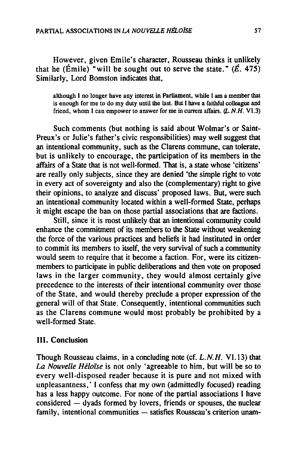However, given Emile's character, Rousseau thinks it unlikely that he (Émile) "will be sought out to serve the state."  $(E. 475)$ Similarly, Lord Bomston indicates that,

although 1 no longer have any interest in Parliament. while 1 am a member that is enough for me to do my duty until the last. But I have a faithful colleague and friend. whom 1 can empower to answer for me in current affairs. *(L.N.H. VI.3)* 

Such comments (but nothing is said about Wolmar's or Saint-Preux's or Julie's father's civic responsibilities) may well suggest that an intentional community, such as the Clarens commune, can tolerate, but is unlikely to encourage, the participation of its members in the affairs of a State that is not well-formed. That is, a state whose 'citizens' are really only subjects, since they are denied 'the simple right to vote in every act of sovereignty and also the (complementary) right to give their opinions, to analyze and discuss' proposed laws. But, were such an intentional community located within a well-formed State. perhaps it might escape the ban on those partial associations that are factions.

Still, since it is most unlikely that an intentional community could enhance the commitment of its members to the State without weakening the force of the various practices and beliefs it had instituted in order to commit its members to itself, the very survival of such a community would seem to require that it become a faction. For, were its citizenmembers to participate in public deliberations and then vote on proposed laws in the larger community, they would almost certainly give precedence to the interests of their intentional community over those of the State, and would thereby preclude a proper expression of the general will of that State. Consequently, intentional communities such as the Clarens commune would most probably be prohibited by a well-formed State.

#### **III.** Conclusion

Though Rousseau claims. in a concluding note (cf. *L.N.H.* VI. 13) that *La Nouvelle Héloïse* is not only 'agreeable to him. but will be so to every well-disposed reader because it is pure and not mixed with unpleasantness,' I confess that my own (admittedly focused) reading has a less happy outcome. For none of the partial associations 1 have  $considered - dyads$  formed by lovers, friends or spouses, the nuclear family, intentional communities - satisfies Rousseau's criterion unam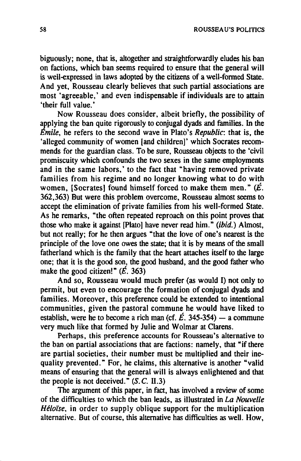biguously; none, that is, altogether and straightforwardly eludes his ban on factions, which ban seems required to ensure that the general will is well-expressed in laws adopted by the citizens of a well-formed State. And yet. Rousseau clearly believes that such partial associations are most 'agreeable,' and even indispensable if individuals are to attain 'their full value.'

Now Rousseau does consider, albeit briefly, the possibility of applying the ban quite rigorously to conjugal dyads and families. In the *Emile,* he refers to the second wave in Plato's *Republic:* that is, the 'alleged community of women [and children]' which Socrates recommends for the guardian class. To be sure, Rousseau objects to the 'civil promiscuity which confounds the two sexes in the same employments and in the same labors,' to the fact that "having removed private families from his regime and no longer knowing what to do with women. [Socrates] found himself forced to make them men."  $(E$ . 362,363) But were this problem overcome, Rousseau almost seems to accept the elimination of private families from his well-formed State. As he remarks, "the often repeated reproach on this point proves that those who make it against [plato] have never read him." (ibid.) Almost, but not really; for he then argues "that the love of one's nearest is the principle of the love one owes the state; that it is by means of the small fatherland which is the family that the heart attaches itself to the large one; that it is the good son, the good husband, and the good father who make the good citizen!"  $(\vec{E}$ . 363)

And so, Rousseau would much prefer (as would 1) not only to permit, but even to encourage the formation of conjugal dyads and families. Moreover, this preference could be extended to intentional communities, given the pastoral commune he would have Iiked to establish, were he to become a rich man (cf.  $\vec{E}$ , 345-354) - a commune very much like that formed by Julie and Wolmar at Clarens.

Perhaps, this preference accounts for Rousseau's alternative to the ban on partial associations that are factions: namely, that "if there are partial societies, their number must be multiplied and their inequality prevented." For, he claims, this alternative is another "valid means of ensuring that the general will is always enlightened and that the people is not deceived."  $(S, C, H, 3)$ 

The argument of this paper, in fact, has involved a review of some of the difficulties to which the ban leads, as iIlustrated in *La Nouvelle Héloïse,* in order to supply oblique support for the multiplication alternative. But of course, this alternative has difficulties as weil. How,